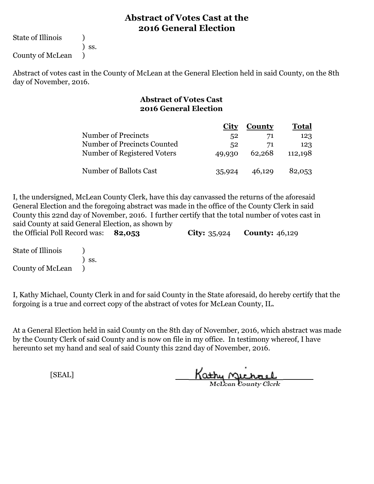State of Illinois (1)

) ss.

County of McLean )

Abstract of votes cast in the County of McLean at the General Election held in said County, on the 8th day of November, 2016.

#### **Abstract of Votes Cast 2016 General Election**

|                             | <b>City</b> | County | <b>Total</b> |  |
|-----------------------------|-------------|--------|--------------|--|
| <b>Number of Precincts</b>  | 52          | 71     | 123          |  |
| Number of Precincts Counted | 52          | 71     | 123          |  |
| Number of Registered Voters | 49,930      | 62,268 | 112,198      |  |
| Number of Ballots Cast      | 35,924      | 46,129 | 82,053       |  |

**82,053 City:** 35,924 **County:** 46,129 I, the undersigned, McLean County Clerk, have this day canvassed the returns of the aforesaid General Election and the foregoing abstract was made in the office of the County Clerk in said County this 22nd day of November, 2016. I further certify that the total number of votes cast in said County at said General Election, as shown by the Official Poll Record was:

State of Illinois (a) ) ss. County of McLean )

I, Kathy Michael, County Clerk in and for said County in the State aforesaid, do hereby certify that the forgoing is a true and correct copy of the abstract of votes for McLean County, IL.

At a General Election held in said County on the 8th day of November, 2016, which abstract was made by the County Clerk of said County and is now on file in my office. In testimony whereof, I have hereunto set my hand and seal of said County this 22nd day of November, 2016.

Kathy Michael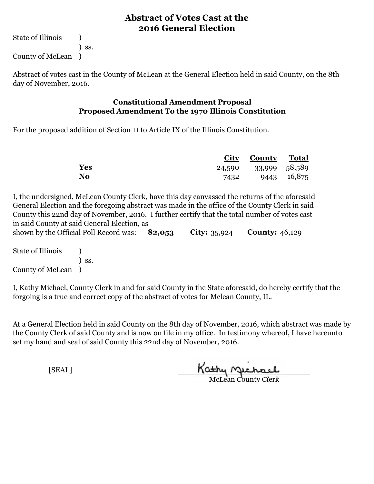State of Illinois (1) ) ss. County of McLean )

Abstract of votes cast in the County of McLean at the General Election held in said County, on the 8th day of November, 2016.

#### **Constitutional Amendment Proposal Proposed Amendment To the 1970 Illinois Constitution**

For the proposed addition of Section 11 to Article IX of the Illinois Constitution.

|           |      | <b>City County Total</b> |             |
|-----------|------|--------------------------|-------------|
| Yes       |      | 24,590 33,999 58,589     |             |
| <b>No</b> | 7432 |                          | 9443 16,875 |

I, the undersigned, McLean County Clerk, have this day canvassed the returns of the aforesaid General Election and the foregoing abstract was made in the office of the County Clerk in said County this 22nd day of November, 2016. I further certify that the total number of votes cast in said County at said General Election, as

**82,053 City:** 35,924 **County:** 46,129 shown by the Official Poll Record was: 82,053

State of Illinois (1) ) ss. County of McLean )

I, Kathy Michael, County Clerk in and for said County in the State aforesaid, do hereby certify that the forgoing is a true and correct copy of the abstract of votes for Mclean County, IL.

At a General Election held in said County on the 8th day of November, 2016, which abstract was made by the County Clerk of said County and is now on file in my office. In testimony whereof, I have hereunto set my hand and seal of said County this 22nd day of November, 2016.

Kathy Quehael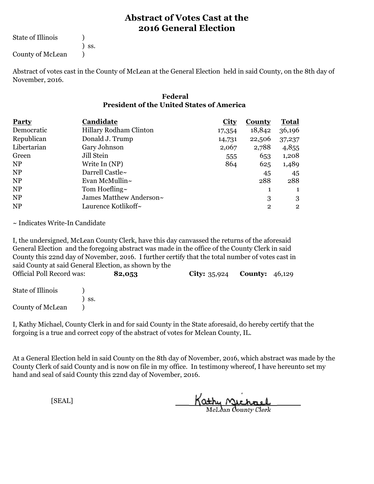State of Illinois (1)

) ss.

County of McLean (1)

Abstract of votes cast in the County of McLean at the General Election held in said County, on the 8th day of November, 2016.

#### **Federal President of the United States of America**

| <b>Party</b> | Candidate               | <b>City</b> | County         | <b>Total</b>   |
|--------------|-------------------------|-------------|----------------|----------------|
| Democratic   | Hillary Rodham Clinton  | 17,354      | 18,842         | 36,196         |
| Republican   | Donald J. Trump         | 14,731      | 22,506         | 37,237         |
| Libertarian  | Gary Johnson            | 2,067       | 2,788          | 4,855          |
| Green        | Jill Stein              | 555         | 653            | 1,208          |
| <b>NP</b>    | Write In (NP)           | 864         | 625            | 1,489          |
| <b>NP</b>    | Darrell Castle~         |             | 45             | 45             |
| <b>NP</b>    | Evan McMullin $\sim$    |             | 288            | 288            |
| <b>NP</b>    | Tom Hoefling $\sim$     |             | 1              | 1              |
| <b>NP</b>    | James Matthew Anderson~ |             | 3              | 3              |
| <b>NP</b>    | Laurence Kotlikoff~     |             | $\overline{2}$ | $\overline{2}$ |

~ Indicates Write-In Candidate

I, the undersigned, McLean County Clerk, have this day canvassed the returns of the aforesaid General Election and the foregoing abstract was made in the office of the County Clerk in said County this 22nd day of November, 2016. I further certify that the total number of votes cast in said County at said General Election, as shown by the

| Official Poll Record was: |     | 82,053 | <b>City:</b> $35,924$ | <b>County:</b> $46,129$ |  |
|---------------------------|-----|--------|-----------------------|-------------------------|--|
| State of Illinois         |     |        |                       |                         |  |
|                           | SS. |        |                       |                         |  |
| County of McLean          |     |        |                       |                         |  |

I, Kathy Michael, County Clerk in and for said County in the State aforesaid, do hereby certify that the forgoing is a true and correct copy of the abstract of votes for Mclean County, IL.

At a General Election held in said County on the 8th day of November, 2016, which abstract was made by the County Clerk of said County and is now on file in my office. In testimony whereof, I have hereunto set my hand and seal of said County this 22nd day of November, 2016.

Kathy Michael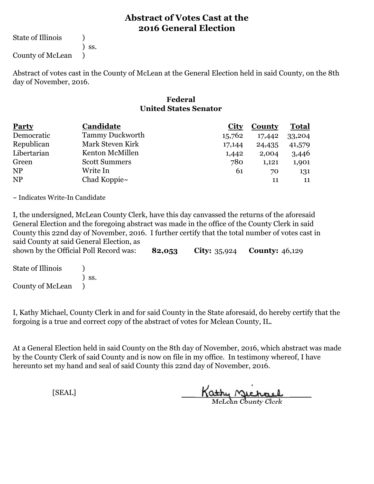State of Illinois (1)

) ss.

County of McLean )

Abstract of votes cast in the County of McLean at the General Election held in said County, on the 8th day of November, 2016.

#### **Federal United States Senator**

| <b>Party</b>   | Candidate              | <u>City</u> | <b>County</b> | <b>Total</b> |  |
|----------------|------------------------|-------------|---------------|--------------|--|
| Democratic     | <b>Tammy Duckworth</b> | 15,762      | 17,442        | 33,204       |  |
| Republican     | Mark Steven Kirk       | 17,144      | 24,435        | 41,579       |  |
| Libertarian    | Kenton McMillen        | 1,442       | 2,004         | 3,446        |  |
| Green          | <b>Scott Summers</b>   | 780         | 1,121         | 1,901        |  |
| <b>NP</b>      | Write In               | 61          | 70            | 131          |  |
| N <sub>P</sub> | Chad Koppie $\sim$     |             | 11            | 11           |  |

~ Indicates Write-In Candidate

I, the undersigned, McLean County Clerk, have this day canvassed the returns of the aforesaid General Election and the foregoing abstract was made in the office of the County Clerk in said County this 22nd day of November, 2016. I further certify that the total number of votes cast in said County at said General Election, as

**82,053 City:** 35,924 **County:** 46,129 shown by the Official Poll Record was:

State of Illinois (1) ) ss. County of McLean )

I, Kathy Michael, County Clerk in and for said County in the State aforesaid, do hereby certify that the forgoing is a true and correct copy of the abstract of votes for Mclean County, IL.

At a General Election held in said County on the 8th day of November, 2016, which abstract was made by the County Clerk of said County and is now on file in my office. In testimony whereof, I have hereunto set my hand and seal of said County this 22nd day of November, 2016.

Kathy Michael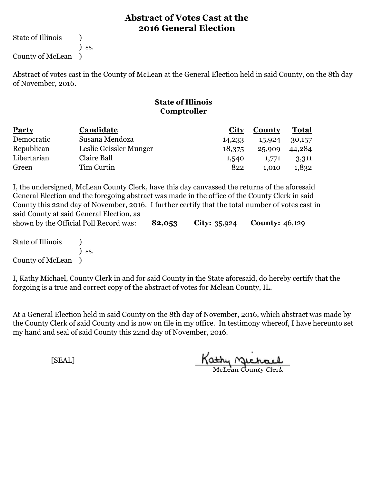State of Illinois (1) ) ss.

County of McLean )

Abstract of votes cast in the County of McLean at the General Election held in said County, on the 8th day of November, 2016.

# **State of Illinois Comptroller**

| <b>Party</b> | Candidate              | City   | <b>County</b> | <b>Total</b> |
|--------------|------------------------|--------|---------------|--------------|
| Democratic   | Susana Mendoza         | 14,233 | 15,924        | 30,157       |
| Republican   | Leslie Geissler Munger | 18,375 | 25,909        | 44,284       |
| Libertarian  | Claire Ball            | 1,540  | 1,771         | 3,311        |
| Green        | Tim Curtin             | 822    | 1.010         | 1,832        |

I, the undersigned, McLean County Clerk, have this day canvassed the returns of the aforesaid General Election and the foregoing abstract was made in the office of the County Clerk in said County this 22nd day of November, 2016. I further certify that the total number of votes cast in said County at said General Election, as

|                   | shown by the Official Poll Record was: | 82,053 | <b>City:</b> $35,924$ <b>County:</b> $46,129$ |  |
|-------------------|----------------------------------------|--------|-----------------------------------------------|--|
| State of Illinois |                                        |        |                                               |  |
|                   | SS.                                    |        |                                               |  |

County of McLean )

I, Kathy Michael, County Clerk in and for said County in the State aforesaid, do hereby certify that the forgoing is a true and correct copy of the abstract of votes for Mclean County, IL.

At a General Election held in said County on the 8th day of November, 2016, which abstract was made by the County Clerk of said County and is now on file in my office. In testimony whereof, I have hereunto set my hand and seal of said County this 22nd day of November, 2016.

Kathy Miche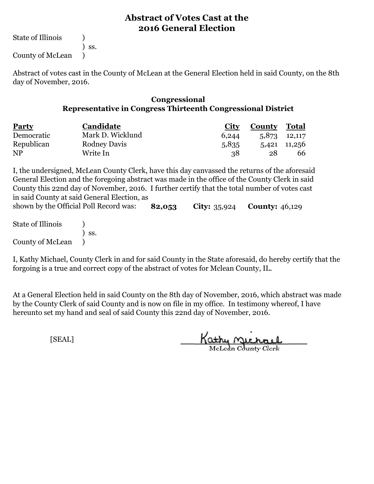State of Illinois (1)

) ss.

County of McLean )

Abstract of votes cast in the County of McLean at the General Election held in said County, on the 8th day of November, 2016.

#### **Congressional Representative in Congress Thirteenth Congressional District**

| <b>Party</b> | Candidate           | <b>City</b> | <b>County Total</b> |              |  |
|--------------|---------------------|-------------|---------------------|--------------|--|
| Democratic   | Mark D. Wicklund    | 6,244       |                     | 5,873 12,117 |  |
| Republican   | <b>Rodney Davis</b> | 5,835       |                     | 5,421 11,256 |  |
| <b>NP</b>    | Write In            | 38          | 28                  | 66           |  |

**82,053 City:** 35,924 **County:** 46,129 I, the undersigned, McLean County Clerk, have this day canvassed the returns of the aforesaid General Election and the foregoing abstract was made in the office of the County Clerk in said County this 22nd day of November, 2016. I further certify that the total number of votes cast in said County at said General Election, as shown by the Official Poll Record was:

State of Illinois (1) ) ss. County of McLean )

I, Kathy Michael, County Clerk in and for said County in the State aforesaid, do hereby certify that the forgoing is a true and correct copy of the abstract of votes for Mclean County, IL.

At a General Election held in said County on the 8th day of November, 2016, which abstract was made by the County Clerk of said County and is now on file in my office. In testimony whereof, I have hereunto set my hand and seal of said County this 22nd day of November, 2016.

Kathy Michael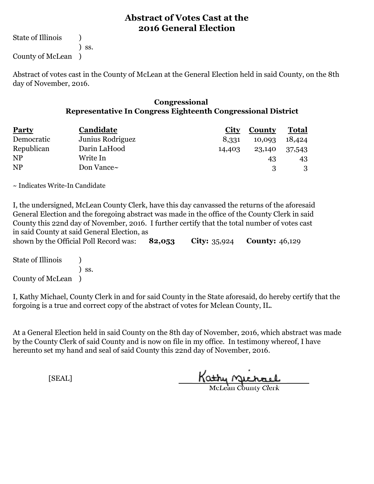State of Illinois (1) ) ss. County of McLean )

Abstract of votes cast in the County of McLean at the General Election held in said County, on the 8th day of November, 2016.

#### **Congressional Representative In Congress Eighteenth Congressional District**

| <b>Party</b>   | Candidate        | <b>City</b> | <b>County</b> | <b>Total</b> |  |
|----------------|------------------|-------------|---------------|--------------|--|
| Democratic     | Junius Rodriguez | 8,331       | 10,093        | 18,424       |  |
| Republican     | Darin LaHood     | 14,403      | 23,140        | 37,543       |  |
| N <sub>P</sub> | Write In         |             | 43            | 43           |  |
| <b>NP</b>      | Don Vance~       |             |               |              |  |

~ Indicates Write-In Candidate

I, the undersigned, McLean County Clerk, have this day canvassed the returns of the aforesaid General Election and the foregoing abstract was made in the office of the County Clerk in said County this 22nd day of November, 2016. I further certify that the total number of votes cast in said County at said General Election, as

| m said count, at said central meetion, as<br>shown by the Official Poll Record was: 82,053 |  | <b>City:</b> $35,924$ <b>County:</b> $46,129$ |  |
|--------------------------------------------------------------------------------------------|--|-----------------------------------------------|--|
| State of Illinois                                                                          |  |                                               |  |

| State of Illinois |                              |  |
|-------------------|------------------------------|--|
|                   | $\overline{\phantom{a}}$ SS. |  |
| County of McLean  |                              |  |

I, Kathy Michael, County Clerk in and for said County in the State aforesaid, do hereby certify that the forgoing is a true and correct copy of the abstract of votes for Mclean County, IL.

At a General Election held in said County on the 8th day of November, 2016, which abstract was made by the County Clerk of said County and is now on file in my office. In testimony whereof, I have hereunto set my hand and seal of said County this 22nd day of November, 2016.

Kathy Michael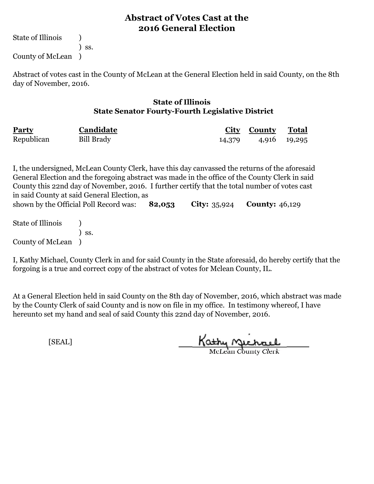State of Illinois (1) ) ss.

County of McLean )

Abstract of votes cast in the County of McLean at the General Election held in said County, on the 8th day of November, 2016.

#### **State of Illinois State Senator Fourty-Fourth Legislative District**

| <b>Party</b> | Candidate         | <b>City</b> | County | <b>Total</b> |
|--------------|-------------------|-------------|--------|--------------|
| Republican   | <b>Bill Brady</b> | 14,379      |        | 4,916 19,295 |

**82,053 City:** 35,924 **County:** 46,129 State of Illinois (1) ) ss. I, the undersigned, McLean County Clerk, have this day canvassed the returns of the aforesaid General Election and the foregoing abstract was made in the office of the County Clerk in said County this 22nd day of November, 2016. I further certify that the total number of votes cast in said County at said General Election, as shown by the Official Poll Record was:

County of McLean )

I, Kathy Michael, County Clerk in and for said County in the State aforesaid, do hereby certify that the forgoing is a true and correct copy of the abstract of votes for Mclean County, IL.

At a General Election held in said County on the 8th day of November, 2016, which abstract was made by the County Clerk of said County and is now on file in my office. In testimony whereof, I have hereunto set my hand and seal of said County this 22nd day of November, 2016.

Kathy Michael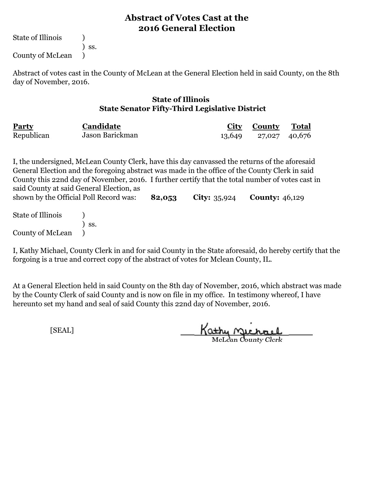State of Illinois (1)

) ss.

County of McLean )

Abstract of votes cast in the County of McLean at the General Election held in said County, on the 8th day of November, 2016.

#### **State of Illinois State Senator Fifty-Third Legislative District**

| Party      | Candidate       |        | City County   | <b>Total</b> |
|------------|-----------------|--------|---------------|--------------|
| Republican | Jason Barickman | 13,649 | 27,027 40,676 |              |

**82,053 City:** 35,924 **County:** 46,129 I, the undersigned, McLean County Clerk, have this day canvassed the returns of the aforesaid General Election and the foregoing abstract was made in the office of the County Clerk in said County this 22nd day of November, 2016. I further certify that the total number of votes cast in said County at said General Election, as shown by the Official Poll Record was:

State of Illinois (a) ) ss. County of McLean )

I, Kathy Michael, County Clerk in and for said County in the State aforesaid, do hereby certify that the forgoing is a true and correct copy of the abstract of votes for Mclean County, IL.

At a General Election held in said County on the 8th day of November, 2016, which abstract was made by the County Clerk of said County and is now on file in my office. In testimony whereof, I have hereunto set my hand and seal of said County this 22nd day of November, 2016.

Kathy Michael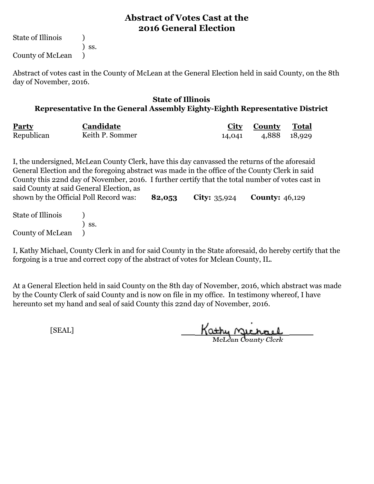State of Illinois (1)

) ss. County of McLean )

Abstract of votes cast in the County of McLean at the General Election held in said County, on the 8th day of November, 2016.

#### **State of Illinois Representative In the General Assembly Eighty-Eighth Representative District**

| <b>Party</b> | Candidate       | <u>City</u> | <b>County</b> | <b>Total</b> |
|--------------|-----------------|-------------|---------------|--------------|
| Republican   | Keith P. Sommer | 14,041      | 4,888 18,929  |              |

**82,053 City:** 35,924 **County:** 46,129 I, the undersigned, McLean County Clerk, have this day canvassed the returns of the aforesaid General Election and the foregoing abstract was made in the office of the County Clerk in said County this 22nd day of November, 2016. I further certify that the total number of votes cast in said County at said General Election, as shown by the Official Poll Record was:

State of Illinois (a) ) ss. County of McLean )

I, Kathy Michael, County Clerk in and for said County in the State aforesaid, do hereby certify that the forgoing is a true and correct copy of the abstract of votes for Mclean County, IL.

At a General Election held in said County on the 8th day of November, 2016, which abstract was made by the County Clerk of said County and is now on file in my office. In testimony whereof, I have hereunto set my hand and seal of said County this 22nd day of November, 2016.

Kathy Michael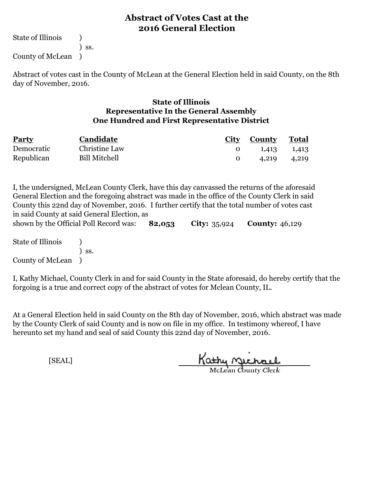State of Illinois (1) ) ss. County of McLean )

Abstract of votes cast in the County of McLean at the General Election held in said County, on the 8th day of November, 2016.

#### **State of Illinois Representative In the General Assembly One Hundred and First Representative District**

| <b>Party</b> | Candidate            | City County | <sup>7</sup> Total |  |
|--------------|----------------------|-------------|--------------------|--|
| Democratic   | Christine Law        | 1,413       | 1,413              |  |
| Republican   | <b>Bill Mitchell</b> | 4.219       | 4,219              |  |

**82,053 City:** 35,924 **County:** 46,129 I, the undersigned, McLean County Clerk, have this day canvassed the returns of the aforesaid General Election and the foregoing abstract was made in the office of the County Clerk in said County this 22nd day of November, 2016. I further certify that the total number of votes cast in said County at said General Election, as shown by the Official Poll Record was:

State of Illinois (1) ) ss. County of McLean )

I, Kathy Michael, County Clerk in and for said County in the State aforesaid, do hereby certify that the forgoing is a true and correct copy of the abstract of votes for Mclean County, IL.

At a General Election held in said County on the 8th day of November, 2016, which abstract was made by the County Clerk of said County and is now on file in my office. In testimony whereof, I have hereunto set my hand and seal of said County this 22nd day of November, 2016.

Kathy Quehael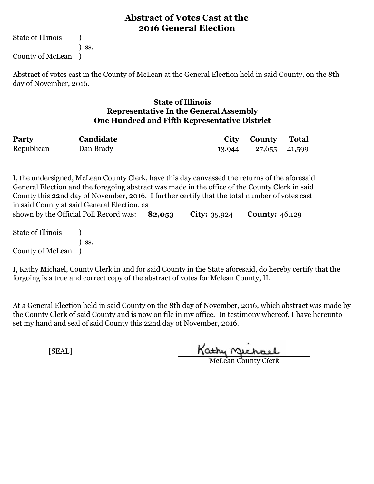State of Illinois (1) ) ss. County of McLean )

Abstract of votes cast in the County of McLean at the General Election held in said County, on the 8th day of November, 2016.

#### **State of Illinois Representative In the General Assembly One Hundred and Fifth Representative District**

| Party      | Candidate | <b>City County Total</b> |  |
|------------|-----------|--------------------------|--|
| Republican | Dan Brady | 13,944 27,655 41,599     |  |

**82,053 City:** 35,924 **County:** 46,129 I, the undersigned, McLean County Clerk, have this day canvassed the returns of the aforesaid General Election and the foregoing abstract was made in the office of the County Clerk in said County this 22nd day of November, 2016. I further certify that the total number of votes cast in said County at said General Election, as shown by the Official Poll Record was: 82,053

State of Illinois (1) ) ss. County of McLean )

I, Kathy Michael, County Clerk in and for said County in the State aforesaid, do hereby certify that the forgoing is a true and correct copy of the abstract of votes for Mclean County, IL.

At a General Election held in said County on the 8th day of November, 2016, which abstract was made by the County Clerk of said County and is now on file in my office. In testimony whereof, I have hereunto set my hand and seal of said County this 22nd day of November, 2016.

Kathy Michael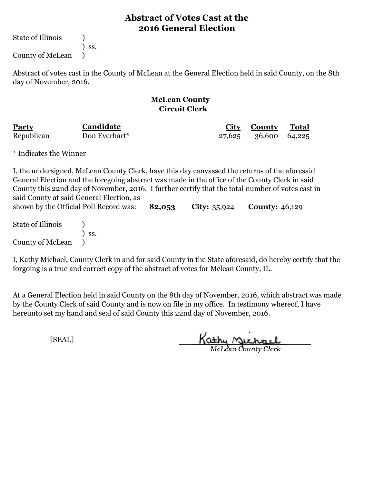State of Illinois (1)

) ss.

County of McLean )

Abstract of votes cast in the County of McLean at the General Election held in said County, on the 8th day of November, 2016.

#### **McLean County Circuit Clerk**

| Party      | Candidate     | City County          | <u>Total</u> |  |
|------------|---------------|----------------------|--------------|--|
| Republican | Don Everhart* | 27,625 36,600 64,225 |              |  |

\* Indicates the Winner

**82,053 City:** 35,924 **County:** 46,129 State of Illinois (a) ) ss. I, the undersigned, McLean County Clerk, have this day canvassed the returns of the aforesaid General Election and the foregoing abstract was made in the office of the County Clerk in said County this 22nd day of November, 2016. I further certify that the total number of votes cast in said County at said General Election, as shown by the Official Poll Record was:

County of McLean )

I, Kathy Michael, County Clerk in and for said County in the State aforesaid, do hereby certify that the forgoing is a true and correct copy of the abstract of votes for Mclean County, IL.

At a General Election held in said County on the 8th day of November, 2016, which abstract was made by the County Clerk of said County and is now on file in my office. In testimony whereof, I have hereunto set my hand and seal of said County this 22nd day of November, 2016.

Kathy Michael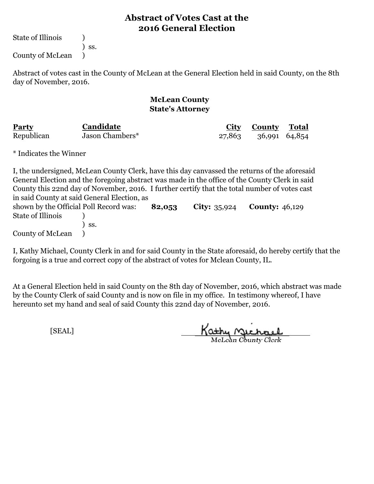State of Illinois (a)

) ss.

County of McLean )

Abstract of votes cast in the County of McLean at the General Election held in said County, on the 8th day of November, 2016.

#### **McLean County State's Attorney**

| Party      | Candidate       | <u>City</u> | <b>County</b> | Total |  |
|------------|-----------------|-------------|---------------|-------|--|
| Republican | Jason Chambers* | 27,863      | 36,991 64,854 |       |  |

\* Indicates the Winner

| I, the undersigned, McLean County Clerk, have this day can vassed the returns of the aforesaid |                              |        |                       |                       |
|------------------------------------------------------------------------------------------------|------------------------------|--------|-----------------------|-----------------------|
| General Election and the foregoing abstract was made in the office of the County Clerk in said |                              |        |                       |                       |
| County this 22nd day of November, 2016. I further certify that the total number of votes cast  |                              |        |                       |                       |
| in said County at said General Election, as                                                    |                              |        |                       |                       |
| shown by the Official Poll Record was:                                                         |                              | 82,053 | <b>City:</b> $35,924$ | <b>County:</b> 46,129 |
| State of Illinois                                                                              |                              |        |                       |                       |
|                                                                                                | $\overline{\phantom{a}}$ SS. |        |                       |                       |
| County of McLean (1)                                                                           |                              |        |                       |                       |

I, Kathy Michael, County Clerk in and for said County in the State aforesaid, do hereby certify that the forgoing is a true and correct copy of the abstract of votes for Mclean County, IL.

At a General Election held in said County on the 8th day of November, 2016, which abstract was made by the County Clerk of said County and is now on file in my office. In testimony whereof, I have hereunto set my hand and seal of said County this 22nd day of November, 2016.

Kathy Michael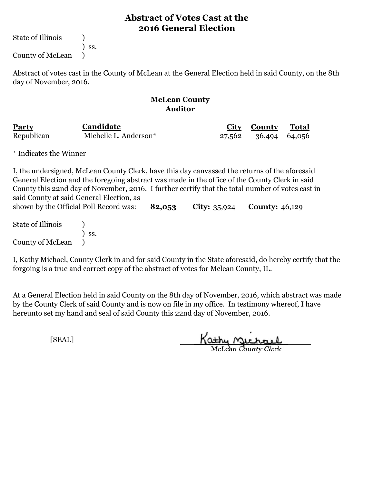State of Illinois (1)

) ss.

County of McLean )

Abstract of votes cast in the County of McLean at the General Election held in said County, on the 8th day of November, 2016.

#### **McLean County Auditor**

| Party      | Candidate             | City County          | <b>Total</b> |  |
|------------|-----------------------|----------------------|--------------|--|
| Republican | Michelle L. Anderson* | 27,562 36,494 64,056 |              |  |

\* Indicates the Winner

**82,053 City:** 35,924 **County:** 46,129 State of Illinois (a) ) ss. I, the undersigned, McLean County Clerk, have this day canvassed the returns of the aforesaid General Election and the foregoing abstract was made in the office of the County Clerk in said County this 22nd day of November, 2016. I further certify that the total number of votes cast in said County at said General Election, as shown by the Official Poll Record was:

County of McLean )

I, Kathy Michael, County Clerk in and for said County in the State aforesaid, do hereby certify that the forgoing is a true and correct copy of the abstract of votes for Mclean County, IL.

At a General Election held in said County on the 8th day of November, 2016, which abstract was made by the County Clerk of said County and is now on file in my office. In testimony whereof, I have hereunto set my hand and seal of said County this 22nd day of November, 2016.

Kathy Quehael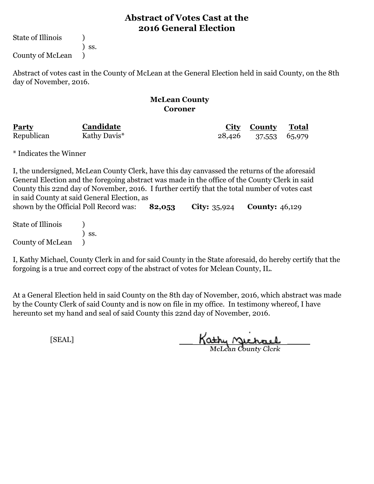State of Illinois (1)

) ss.

County of McLean )

Abstract of votes cast in the County of McLean at the General Election held in said County, on the 8th day of November, 2016.

#### **McLean County Coroner**

| Party      | Candidate    |        | City County   | Total |  |
|------------|--------------|--------|---------------|-------|--|
| Republican | Kathy Davis* | 28,426 | 37,553 65,979 |       |  |

\* Indicates the Winner

County of McLean )

**82,053 City:** 35,924 **County:** 46,129 State of Illinois (a) ) ss. I, the undersigned, McLean County Clerk, have this day canvassed the returns of the aforesaid General Election and the foregoing abstract was made in the office of the County Clerk in said County this 22nd day of November, 2016. I further certify that the total number of votes cast in said County at said General Election, as shown by the Official Poll Record was:

I, Kathy Michael, County Clerk in and for said County in the State aforesaid, do hereby certify that the forgoing is a true and correct copy of the abstract of votes for Mclean County, IL.

At a General Election held in said County on the 8th day of November, 2016, which abstract was made by the County Clerk of said County and is now on file in my office. In testimony whereof, I have hereunto set my hand and seal of said County this 22nd day of November, 2016.

Kathy Quehael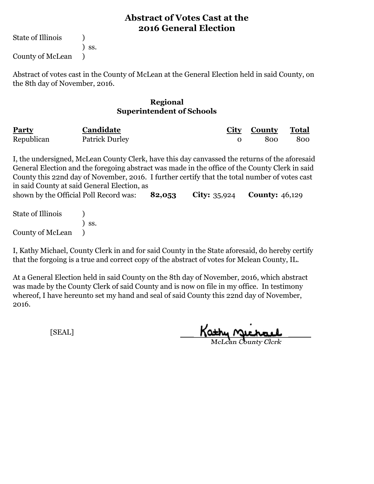State of Illinois (1)

) ss.

County of McLean )

Abstract of votes cast in the County of McLean at the General Election held in said County, on the 8th day of November, 2016.

#### **Regional Superintendent of Schools**

| <b>Party</b> | Candidate             | City County | Total |
|--------------|-----------------------|-------------|-------|
| Republican   | <b>Patrick Durley</b> | 800         | 800   |

**82,053 City:** 35,924 **County:** 46,129 I, the undersigned, McLean County Clerk, have this day canvassed the returns of the aforesaid General Election and the foregoing abstract was made in the office of the County Clerk in said County this 22nd day of November, 2016. I further certify that the total number of votes cast in said County at said General Election, as shown by the Official Poll Record was:

State of Illinois (a) ) ss. County of McLean )

I, Kathy Michael, County Clerk in and for said County in the State aforesaid, do hereby certify that the forgoing is a true and correct copy of the abstract of votes for Mclean County, IL.

At a General Election held in said County on the 8th day of November, 2016, which abstract was made by the County Clerk of said County and is now on file in my office. In testimony whereof, I have hereunto set my hand and seal of said County this 22nd day of November, 2016.

<u>Kathy nyeracl</u>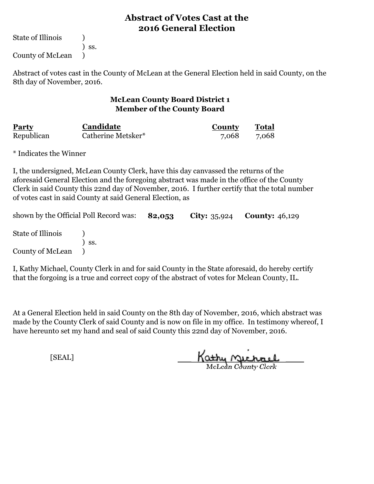State of Illinois (1)

) ss.

County of McLean )

Abstract of votes cast in the County of McLean at the General Election held in said County, on the 8th day of November, 2016.

#### **McLean County Board District 1 Member of the County Board**

| Party      | Candidate          | <b>County</b> | <b>Total</b> |
|------------|--------------------|---------------|--------------|
| Republican | Catherine Metsker* | 7,068         | 7,068        |

\* Indicates the Winner

I, the undersigned, McLean County Clerk, have this day canvassed the returns of the aforesaid General Election and the foregoing abstract was made in the office of the County Clerk in said County this 22nd day of November, 2016. I further certify that the total number of votes cast in said County at said General Election, as

| shown by the Official Poll Record was: $82,053$ |       |  | <b>City:</b> $35,924$ <b>County:</b> $46,129$ |  |
|-------------------------------------------------|-------|--|-----------------------------------------------|--|
| State of Illinois                               |       |  |                                               |  |
| County of McLean (1)                            | ) ss. |  |                                               |  |
|                                                 |       |  |                                               |  |

I, Kathy Michael, County Clerk in and for said County in the State aforesaid, do hereby certify that the forgoing is a true and correct copy of the abstract of votes for Mclean County, IL.

At a General Election held in said County on the 8th day of November, 2016, which abstract was made by the County Clerk of said County and is now on file in my office. In testimony whereof, I have hereunto set my hand and seal of said County this 22nd day of November, 2016.

Kathy Michael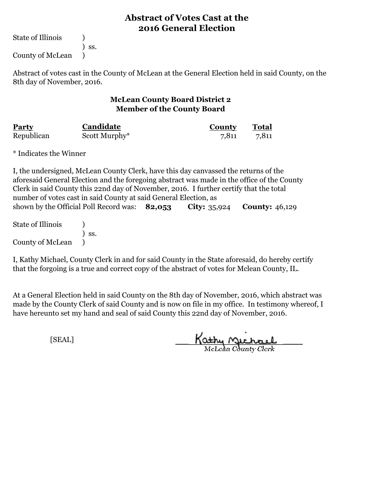State of Illinois (1)

) ss.

County of McLean )

Abstract of votes cast in the County of McLean at the General Election held in said County, on the 8th day of November, 2016.

#### **McLean County Board District 2 Member of the County Board**

| <b>Party</b> | Candidate     | County | <b>Total</b> |
|--------------|---------------|--------|--------------|
| Republican   | Scott Murphy* | 7,811  | 7,811        |

\* Indicates the Winner

**82,053 City:** 35,924 **County:** 46,129 I, the undersigned, McLean County Clerk, have this day canvassed the returns of the aforesaid General Election and the foregoing abstract was made in the office of the County Clerk in said County this 22nd day of November, 2016. I further certify that the total number of votes cast in said County at said General Election, as shown by the Official Poll Record was: 82,053

State of Illinois (a) ) ss. County of McLean )

I, Kathy Michael, County Clerk in and for said County in the State aforesaid, do hereby certify that the forgoing is a true and correct copy of the abstract of votes for Mclean County, IL.

At a General Election held in said County on the 8th day of November, 2016, which abstract was made by the County Clerk of said County and is now on file in my office. In testimony whereof, I have hereunto set my hand and seal of said County this 22nd day of November, 2016.

Kathy Michael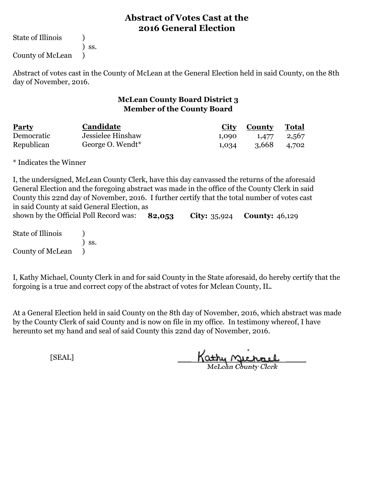State of Illinois (1)

) ss.

County of McLean )

Abstract of votes cast in the County of McLean at the General Election held in said County, on the 8th day of November, 2016.

#### **McLean County Board District 3 Member of the County Board**

| <b>Party</b> | Candidate         |       | <b>City County</b> | Total |
|--------------|-------------------|-------|--------------------|-------|
| Democratic   | Jessielee Hinshaw | 1,090 | 1,477              | 2,567 |
| Republican   | George O. Wendt*  | 1,034 | 3,668              | 4.702 |

\* Indicates the Winner

**82,053 City:** 35,924 **County:** 46,129 I, the undersigned, McLean County Clerk, have this day canvassed the returns of the aforesaid General Election and the foregoing abstract was made in the office of the County Clerk in said County this 22nd day of November, 2016. I further certify that the total number of votes cast in said County at said General Election, as shown by the Official Poll Record was:

State of Illinois (1) ) ss. County of McLean )

I, Kathy Michael, County Clerk in and for said County in the State aforesaid, do hereby certify that the forgoing is a true and correct copy of the abstract of votes for Mclean County, IL.

At a General Election held in said County on the 8th day of November, 2016, which abstract was made by the County Clerk of said County and is now on file in my office. In testimony whereof, I have hereunto set my hand and seal of said County this 22nd day of November, 2016.

Kathy <u>Michael</u>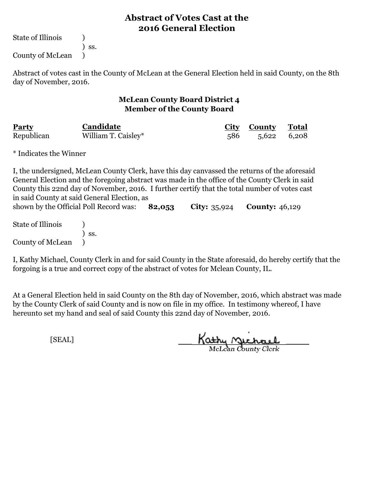State of Illinois (1)

) ss.

County of McLean )

Abstract of votes cast in the County of McLean at the General Election held in said County, on the 8th day of November, 2016.

#### **McLean County Board District 4 Member of the County Board**

| Party      | Candidate           | <b>City County</b> | Total |
|------------|---------------------|--------------------|-------|
| Republican | William T. Caisley* | 586 5,622 6,208    |       |

\* Indicates the Winner

**82,053 City:** 35,924 **County:** 46,129 State of Illinois (a) ) ss. I, the undersigned, McLean County Clerk, have this day canvassed the returns of the aforesaid General Election and the foregoing abstract was made in the office of the County Clerk in said County this 22nd day of November, 2016. I further certify that the total number of votes cast in said County at said General Election, as shown by the Official Poll Record was:

County of McLean )

I, Kathy Michael, County Clerk in and for said County in the State aforesaid, do hereby certify that the forgoing is a true and correct copy of the abstract of votes for Mclean County, IL.

At a General Election held in said County on the 8th day of November, 2016, which abstract was made by the County Clerk of said County and is now on file in my office. In testimony whereof, I have hereunto set my hand and seal of said County this 22nd day of November, 2016.

Kathy Michael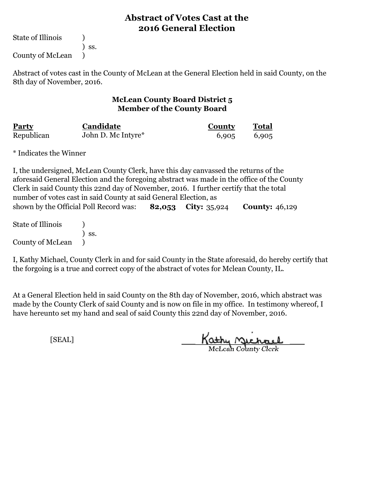State of Illinois (1)

) ss.

County of McLean )

Abstract of votes cast in the County of McLean at the General Election held in said County, on the 8th day of November, 2016.

#### **McLean County Board District 5 Member of the County Board**

| <b>Party</b> | Candidate          | <b>County</b> | <b>Total</b> |  |
|--------------|--------------------|---------------|--------------|--|
| Republican   | John D. Mc Intyre* | 6,905         | 6,905        |  |

\* Indicates the Winner

**82,053 City:** 35,924 **County:** 46,129 I, the undersigned, McLean County Clerk, have this day canvassed the returns of the aforesaid General Election and the foregoing abstract was made in the office of the County Clerk in said County this 22nd day of November, 2016. I further certify that the total number of votes cast in said County at said General Election, as shown by the Official Poll Record was:

State of Illinois (a) ) ss. County of McLean )

I, Kathy Michael, County Clerk in and for said County in the State aforesaid, do hereby certify that the forgoing is a true and correct copy of the abstract of votes for Mclean County, IL.

At a General Election held in said County on the 8th day of November, 2016, which abstract was made by the County Clerk of said County and is now on file in my office. In testimony whereof, I have hereunto set my hand and seal of said County this 22nd day of November, 2016.

Kathy Michael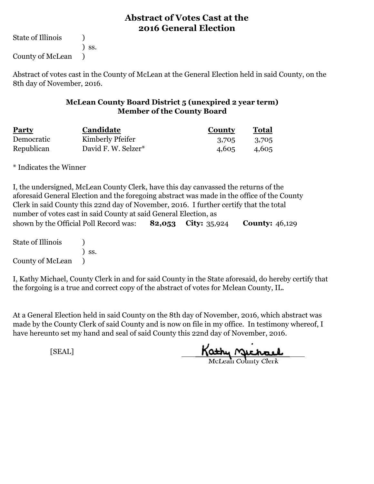State of Illinois (a)

) ss.

County of McLean )

Abstract of votes cast in the County of McLean at the General Election held in said County, on the 8th day of November, 2016.

#### **McLean County Board District 5 (unexpired 2 year term) Member of the County Board**

| Party      | Candidate           | <b>County</b> | <b>Total</b> |
|------------|---------------------|---------------|--------------|
| Democratic | Kimberly Pfeifer    | 3,705         | 3,705        |
| Republican | David F. W. Selzer* | 4,605         | 4,605        |

\* Indicates the Winner

| I, the undersigned, McLean County Clerk, have this day canvassed the returns of the             |                                                                                            |  |  |  |  |  |
|-------------------------------------------------------------------------------------------------|--------------------------------------------------------------------------------------------|--|--|--|--|--|
|                                                                                                 | aforesaid General Election and the foregoing abstract was made in the office of the County |  |  |  |  |  |
|                                                                                                 | Clerk in said County this 22nd day of November, 2016. I further certify that the total     |  |  |  |  |  |
| number of votes cast in said County at said General Election, as                                |                                                                                            |  |  |  |  |  |
| <b>82,053</b> City: $35,924$<br><b>County: 46,129</b><br>shown by the Official Poll Record was: |                                                                                            |  |  |  |  |  |
|                                                                                                 |                                                                                            |  |  |  |  |  |

State of Illinois (a) ) ss. County of McLean )

I, Kathy Michael, County Clerk in and for said County in the State aforesaid, do hereby certify that the forgoing is a true and correct copy of the abstract of votes for Mclean County, IL.

At a General Election held in said County on the 8th day of November, 2016, which abstract was made by the County Clerk of said County and is now on file in my office. In testimony whereof, I have hereunto set my hand and seal of said County this 22nd day of November, 2016.

Kathy Michael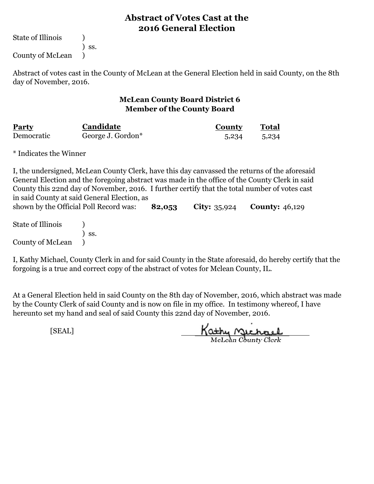State of Illinois (1)

) ss.

County of McLean )

Abstract of votes cast in the County of McLean at the General Election held in said County, on the 8th day of November, 2016.

#### **McLean County Board District 6 Member of the County Board**

| <u>Party</u> | Candidate         | County | Total |
|--------------|-------------------|--------|-------|
| Democratic   | George J. Gordon* | 5,234  | 5,234 |

\* Indicates the Winner

**82,053 City:** 35,924 **County:** 46,129 State of Illinois (a) I, the undersigned, McLean County Clerk, have this day canvassed the returns of the aforesaid General Election and the foregoing abstract was made in the office of the County Clerk in said County this 22nd day of November, 2016. I further certify that the total number of votes cast in said County at said General Election, as shown by the Official Poll Record was:

) ss. County of McLean )

I, Kathy Michael, County Clerk in and for said County in the State aforesaid, do hereby certify that the forgoing is a true and correct copy of the abstract of votes for Mclean County, IL.

At a General Election held in said County on the 8th day of November, 2016, which abstract was made by the County Clerk of said County and is now on file in my office. In testimony whereof, I have hereunto set my hand and seal of said County this 22nd day of November, 2016.

Kathy Michael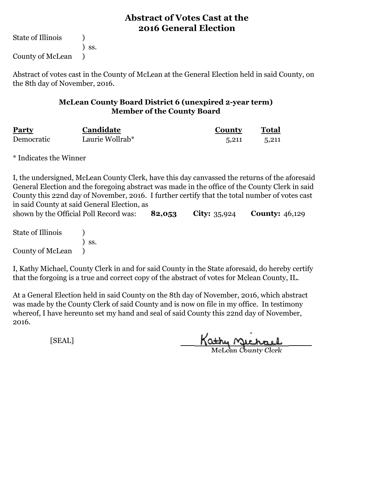State of Illinois (1)

) ss.

County of McLean )

Abstract of votes cast in the County of McLean at the General Election held in said County, on the 8th day of November, 2016.

#### **McLean County Board District 6 (unexpired 2-year term) Member of the County Board**

| <b>Party</b> | Candidate       | County | Total |
|--------------|-----------------|--------|-------|
| Democratic   | Laurie Wollrab* | 5.211  | 5.211 |

\* Indicates the Winner

I, the undersigned, McLean County Clerk, have this day canvassed the returns of the aforesaid General Election and the foregoing abstract was made in the office of the County Clerk in said County this 22nd day of November, 2016. I further certify that the total number of votes cast in said County at said General Election, as

**82,053 City:** 35,924 **County:** 46,129 State of Illinois (1) shown by the Official Poll Record was:

) ss. County of McLean )

I, Kathy Michael, County Clerk in and for said County in the State aforesaid, do hereby certify that the forgoing is a true and correct copy of the abstract of votes for Mclean County, IL.

At a General Election held in said County on the 8th day of November, 2016, which abstract was made by the County Clerk of said County and is now on file in my office. In testimony whereof, I have hereunto set my hand and seal of said County this 22nd day of November, 2016.

Kathy Jichael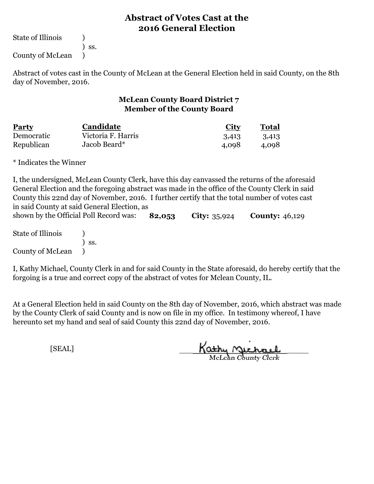State of Illinois (1)

) ss.

County of McLean )

Abstract of votes cast in the County of McLean at the General Election held in said County, on the 8th day of November, 2016.

#### **McLean County Board District 7 Member of the County Board**

| Party      | Candidate          | <b>City</b> | Total |
|------------|--------------------|-------------|-------|
| Democratic | Victoria F. Harris | 3,413       | 3,413 |
| Republican | Jacob Beard*       | 4,098       | 4.098 |

\* Indicates the Winner

**82,053 City:** 35,924 **County:** 46,129 I, the undersigned, McLean County Clerk, have this day canvassed the returns of the aforesaid General Election and the foregoing abstract was made in the office of the County Clerk in said County this 22nd day of November, 2016. I further certify that the total number of votes cast in said County at said General Election, as shown by the Official Poll Record was:

State of Illinois (1) ) ss. County of McLean )

I, Kathy Michael, County Clerk in and for said County in the State aforesaid, do hereby certify that the forgoing is a true and correct copy of the abstract of votes for Mclean County, IL.

At a General Election held in said County on the 8th day of November, 2016, which abstract was made by the County Clerk of said County and is now on file in my office. In testimony whereof, I have hereunto set my hand and seal of said County this 22nd day of November, 2016.

Kathy Michael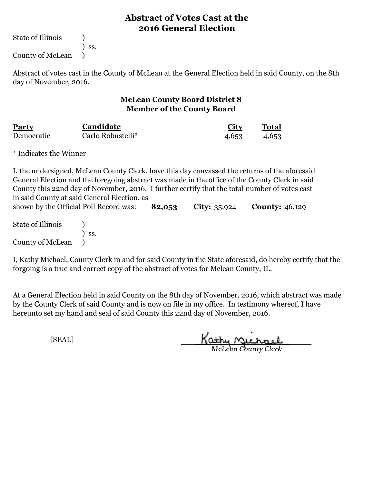State of Illinois (1)

) ss.

County of McLean )

Abstract of votes cast in the County of McLean at the General Election held in said County, on the 8th day of November, 2016.

#### **McLean County Board District 8 Member of the County Board**

| <b>Party</b> | <b>Candidate</b>  | City  | Total |
|--------------|-------------------|-------|-------|
| Democratic   | Carlo Robustelli* | 4,653 | 4,653 |

\* Indicates the Winner

**82,053 City:** 35,924 **County:** 46,129 State of Illinois (a) ) ss. I, the undersigned, McLean County Clerk, have this day canvassed the returns of the aforesaid General Election and the foregoing abstract was made in the office of the County Clerk in said County this 22nd day of November, 2016. I further certify that the total number of votes cast in said County at said General Election, as shown by the Official Poll Record was:

County of McLean )

I, Kathy Michael, County Clerk in and for said County in the State aforesaid, do hereby certify that the forgoing is a true and correct copy of the abstract of votes for Mclean County, IL.

At a General Election held in said County on the 8th day of November, 2016, which abstract was made by the County Clerk of said County and is now on file in my office. In testimony whereof, I have hereunto set my hand and seal of said County this 22nd day of November, 2016.

Kathy Quehael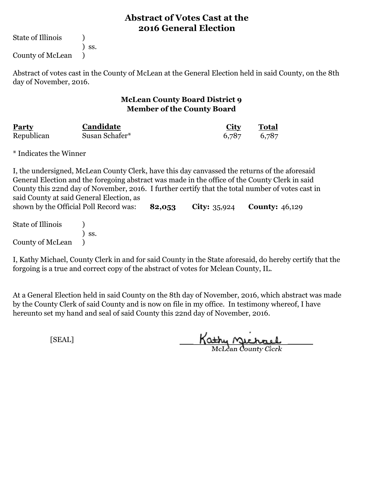State of Illinois (1)

) ss.

County of McLean )

Abstract of votes cast in the County of McLean at the General Election held in said County, on the 8th day of November, 2016.

#### **McLean County Board District 9 Member of the County Board**

| Party      | Candidate      | <u>City</u> | Total |
|------------|----------------|-------------|-------|
| Republican | Susan Schafer* | 6,787       | 6,787 |

\* Indicates the Winner

County of McLean )

**82,053 City:** 35,924 **County:** 46,129 State of Illinois (a) ) ss. I, the undersigned, McLean County Clerk, have this day canvassed the returns of the aforesaid General Election and the foregoing abstract was made in the office of the County Clerk in said County this 22nd day of November, 2016. I further certify that the total number of votes cast in said County at said General Election, as shown by the Official Poll Record was:

I, Kathy Michael, County Clerk in and for said County in the State aforesaid, do hereby certify that the forgoing is a true and correct copy of the abstract of votes for Mclean County, IL.

At a General Election held in said County on the 8th day of November, 2016, which abstract was made by the County Clerk of said County and is now on file in my office. In testimony whereof, I have hereunto set my hand and seal of said County this 22nd day of November, 2016.

Kathy <u>Michael</u>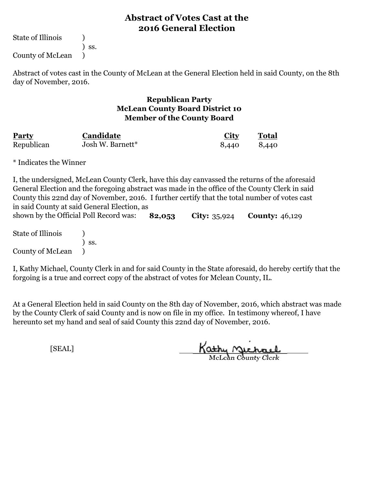State of Illinois (1)

) ss.

County of McLean )

Abstract of votes cast in the County of McLean at the General Election held in said County, on the 8th day of November, 2016.

#### **Republican Party McLean County Board District 10 Member of the County Board**

| Party      | Candidate        | <b>City</b> | Total |
|------------|------------------|-------------|-------|
| Republican | Josh W. Barnett* | 8,440       | 8.440 |

\* Indicates the Winner

**82,053 City:** 35,924 **County:** 46,129 I, the undersigned, McLean County Clerk, have this day canvassed the returns of the aforesaid General Election and the foregoing abstract was made in the office of the County Clerk in said County this 22nd day of November, 2016. I further certify that the total number of votes cast in said County at said General Election, as shown by the Official Poll Record was:

State of Illinois (1) ) ss. County of McLean )

I, Kathy Michael, County Clerk in and for said County in the State aforesaid, do hereby certify that the forgoing is a true and correct copy of the abstract of votes for Mclean County, IL.

At a General Election held in said County on the 8th day of November, 2016, which abstract was made by the County Clerk of said County and is now on file in my office. In testimony whereof, I have hereunto set my hand and seal of said County this 22nd day of November, 2016.

Kathy Michael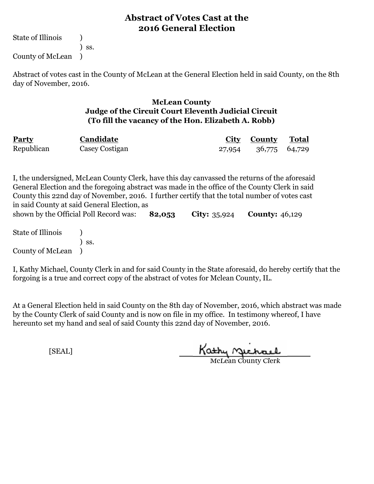State of Illinois (1) ) ss. County of McLean )

Abstract of votes cast in the County of McLean at the General Election held in said County, on the 8th day of November, 2016.

#### **McLean County Judge of the Circuit Court Eleventh Judicial Circuit (To fill the vacancy of the Hon. Elizabeth A. Robb)**

| <b>Party</b> | Candidate      | <b>City County Total</b> |  |
|--------------|----------------|--------------------------|--|
| Republican   | Casey Costigan | 27,954 36,775 64,729     |  |

**82,053 City:** 35,924 **County:** 46,129 I, the undersigned, McLean County Clerk, have this day canvassed the returns of the aforesaid General Election and the foregoing abstract was made in the office of the County Clerk in said County this 22nd day of November, 2016. I further certify that the total number of votes cast in said County at said General Election, as shown by the Official Poll Record was:

State of Illinois (1) ) ss. County of McLean )

I, Kathy Michael, County Clerk in and for said County in the State aforesaid, do hereby certify that the forgoing is a true and correct copy of the abstract of votes for Mclean County, IL.

At a General Election held in said County on the 8th day of November, 2016, which abstract was made by the County Clerk of said County and is now on file in my office. In testimony whereof, I have hereunto set my hand and seal of said County this 22nd day of November, 2016.

Kathy Michael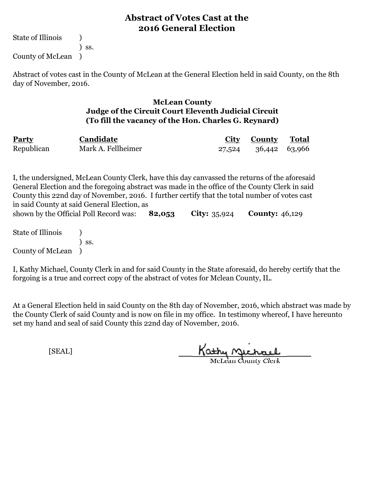State of Illinois (1) ) ss. County of McLean )

Abstract of votes cast in the County of McLean at the General Election held in said County, on the 8th day of November, 2016.

#### **McLean County Judge of the Circuit Court Eleventh Judicial Circuit (To fill the vacancy of the Hon. Charles G. Reynard)**

| <b>Party</b> | Candidate          | <b>City County Total</b> |  |
|--------------|--------------------|--------------------------|--|
| Republican   | Mark A. Fellheimer | 27,524 36,442 63,966     |  |

**82,053 City:** 35,924 **County:** 46,129 I, the undersigned, McLean County Clerk, have this day canvassed the returns of the aforesaid General Election and the foregoing abstract was made in the office of the County Clerk in said County this 22nd day of November, 2016. I further certify that the total number of votes cast in said County at said General Election, as shown by the Official Poll Record was:

State of Illinois (1) ) ss. County of McLean )

I, Kathy Michael, County Clerk in and for said County in the State aforesaid, do hereby certify that the forgoing is a true and correct copy of the abstract of votes for Mclean County, IL.

At a General Election held in said County on the 8th day of November, 2016, which abstract was made by the County Clerk of said County and is now on file in my office. In testimony whereof, I have hereunto set my hand and seal of said County this 22nd day of November, 2016.

Kathy Michael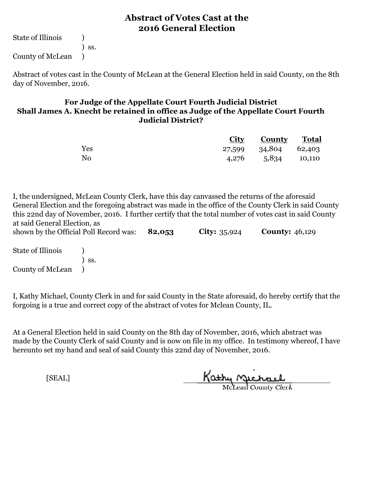State of Illinois (a) ) ss. County of McLean )

Abstract of votes cast in the County of McLean at the General Election held in said County, on the 8th day of November, 2016.

#### **For Judge of the Appellate Court Fourth Judicial District Shall James A. Knecht be retained in office as Judge of the Appellate Court Fourth Judicial District?**

|                | <b>City County Total</b> |  |
|----------------|--------------------------|--|
| Yes            | 27,599 34,804 62,403     |  |
| N <sub>0</sub> | 4,276 5,834 10,110       |  |

**82,053 City:** 35,924 **County:** 46,129 I, the undersigned, McLean County Clerk, have this day canvassed the returns of the aforesaid General Election and the foregoing abstract was made in the office of the County Clerk in said County this 22nd day of November, 2016. I further certify that the total number of votes cast in said County at said General Election, as shown by the Official Poll Record was:

State of Illinois (1) ) ss. County of McLean )

I, Kathy Michael, County Clerk in and for said County in the State aforesaid, do hereby certify that the forgoing is a true and correct copy of the abstract of votes for Mclean County, IL.

At a General Election held in said County on the 8th day of November, 2016, which abstract was made by the County Clerk of said County and is now on file in my office. In testimony whereof, I have hereunto set my hand and seal of said County this 22nd day of November, 2016.

Kathy Michael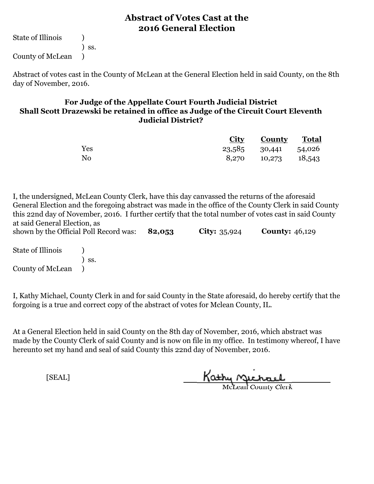State of Illinois (a) ) ss. County of McLean )

Abstract of votes cast in the County of McLean at the General Election held in said County, on the 8th day of November, 2016.

#### **For Judge of the Appellate Court Fourth Judicial District Shall Scott Drazewski be retained in office as Judge of the Circuit Court Eleventh Judicial District?**

|                |                      | <b>City County Total</b> |  |
|----------------|----------------------|--------------------------|--|
| Yes            | 23,585 30,441 54,026 |                          |  |
| N <sub>0</sub> |                      | 8,270 10,273 18,543      |  |

**82,053 City:** 35,924 **County:** 46,129 I, the undersigned, McLean County Clerk, have this day canvassed the returns of the aforesaid General Election and the foregoing abstract was made in the office of the County Clerk in said County this 22nd day of November, 2016. I further certify that the total number of votes cast in said County at said General Election, as shown by the Official Poll Record was:

State of Illinois (a) ) ss. County of McLean )

I, Kathy Michael, County Clerk in and for said County in the State aforesaid, do hereby certify that the forgoing is a true and correct copy of the abstract of votes for Mclean County, IL.

At a General Election held in said County on the 8th day of November, 2016, which abstract was made by the County Clerk of said County and is now on file in my office. In testimony whereof, I have hereunto set my hand and seal of said County this 22nd day of November, 2016.

Kathy Michael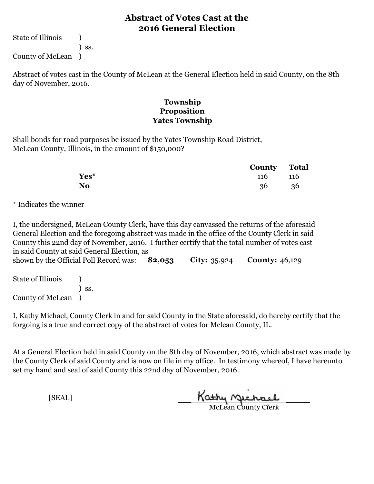State of Illinois (1) ) ss.

County of McLean )

Abstract of votes cast in the County of McLean at the General Election held in said County, on the 8th day of November, 2016.

#### **Township Proposition Yates Township**

Shall bonds for road purposes be issued by the Yates Township Road District, McLean County, Illinois, in the amount of \$150,000?

|                | <b>County</b> Total |            |  |
|----------------|---------------------|------------|--|
| Yes*           | 116                 | <b>116</b> |  |
| N <sub>0</sub> | 36                  | - 36       |  |

\* Indicates the winner

I, the undersigned, McLean County Clerk, have this day canvassed the returns of the aforesaid General Election and the foregoing abstract was made in the office of the County Clerk in said County this 22nd day of November, 2016. I further certify that the total number of votes cast in said County at said General Election, as

**82,053 City:** 35,924 **County:** 46,129 State of Illinois (a) ) ss. shown by the Official Poll Record was: 82,053

County of McLean )

I, Kathy Michael, County Clerk in and for said County in the State aforesaid, do hereby certify that the forgoing is a true and correct copy of the abstract of votes for Mclean County, IL.

At a General Election held in said County on the 8th day of November, 2016, which abstract was made by the County Clerk of said County and is now on file in my office. In testimony whereof, I have hereunto set my hand and seal of said County this 22nd day of November, 2016.

Kathy Michael